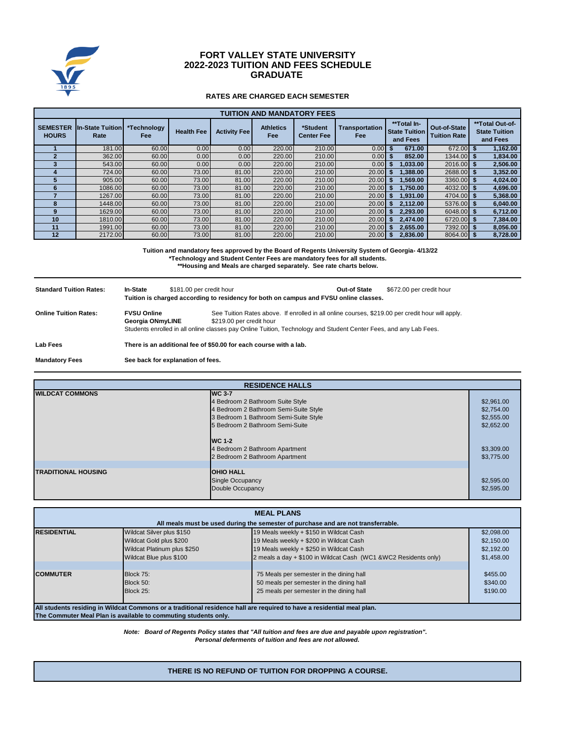

# **FORT VALLEY STATE UNIVERSITY GRADUATE 2022-2023 TUITION AND FEES SCHEDULE**

## **RATES ARE CHARGED EACH SEMESTER**

| <b>TUITION AND MANDATORY FEES</b> |                                 |                           |                   |                     |                         |                               |                                     |                                                 |                                     |                                                     |
|-----------------------------------|---------------------------------|---------------------------|-------------------|---------------------|-------------------------|-------------------------------|-------------------------------------|-------------------------------------------------|-------------------------------------|-----------------------------------------------------|
| <b>SEMESTER</b><br><b>HOURS</b>   | <b>In-State Tuition</b><br>Rate | *Technology<br><b>Fee</b> | <b>Health Fee</b> | <b>Activity Fee</b> | <b>Athletics</b><br>Fee | *Student<br><b>Center Fee</b> | <b>Transportation</b><br><b>Fee</b> | **Total In-<br><b>State Tuition</b><br>and Fees | Out-of-State<br><b>Tuition Rate</b> | **Total Out-of-<br><b>State Tuition</b><br>and Fees |
|                                   | 181.00                          | 60.00                     | 0.00              | 0.00                | 220.00                  | 210.00                        | 0.00                                | 671.00                                          | 672.00                              | 1.162.00                                            |
|                                   | 362.00                          | 60.00                     | 0.00              | 0.00                | 220.00                  | 210.00                        | 0.00                                | 852.00                                          | 1344.00                             | 1,834.00                                            |
|                                   | 543.00                          | 60.00                     | 0.00              | 0.00                | 220.00                  | 210.00                        | 0.00                                | .033.00                                         | 2016.00                             | 2,506.00                                            |
|                                   | 724.00                          | 60.00                     | 73.00             | 81.00               | 220.00                  | 210.00                        | 20.00                               | 1.388.00                                        | 2688.00                             | 3,352.00                                            |
|                                   | 905.00                          | 60.00                     | 73.00             | 81.00               | 220.00                  | 210.00                        | 20.00                               | 1.569.00                                        | 3360.00                             | 4,024.00                                            |
| 6                                 | 1086.00                         | 60.00                     | 73.00             | 81.00               | 220.00                  | 210.00                        | 20.00                               | 1.750.00                                        | 4032.00                             | 4,696.00                                            |
|                                   | 1267.00                         | 60.00                     | 73.00             | 81.00               | 220.00                  | 210.00                        | 20.00                               | 1.931.00                                        | 4704.00                             | 5,368.00                                            |
|                                   | 1448.00                         | 60.00                     | 73.00             | 81.00               | 220.00                  | 210.00                        | 20.00                               | 2.112.00                                        | 5376.00                             | 6,040.00                                            |
|                                   | 1629.00                         | 60.00                     | 73.00             | 81.00               | 220.00                  | 210.00                        | 20.00                               | 2.293.00                                        | 6048.00 \$                          | 6,712.00                                            |
| 10                                | 1810.00                         | 60.00                     | 73.00             | 81.00               | 220.00                  | 210.00                        | 20.00                               | 2.474.00                                        | 6720.00                             | 7,384.00                                            |
| 11                                | 1991.00                         | 60.00                     | 73.00             | 81.00               | 220.00                  | 210.00                        | 20.00                               | 2.655.00                                        | 7392.00                             | 8.056.00                                            |
| 12                                | 2172.00                         | 60.00                     | 73.00             | 81.00               | 220.00                  | 210.00                        | 20.00                               | 2.836.00                                        | 8064.00                             | 8.728.00                                            |

**\*Technology and Student Center Fees are mandatory fees for all students. Tuition and mandatory fees approved by the Board of Regents University System of Georgia- 4/13/22 \*\*Housing and Meals are charged separately. See rate charts below.**

| <b>Standard Tuition Rates:</b> | In-State                                                                                                                                                                                                                                                                                    | \$181.00 per credit hour<br>Tuition is charged according to residency for both on campus and FVSU online classes. | Out-of State | \$672.00 per credit hour |
|--------------------------------|---------------------------------------------------------------------------------------------------------------------------------------------------------------------------------------------------------------------------------------------------------------------------------------------|-------------------------------------------------------------------------------------------------------------------|--------------|--------------------------|
| <b>Online Tuition Rates:</b>   | See Tuition Rates above. If enrolled in all online courses, \$219.00 per credit hour will apply.<br><b>FVSU Online</b><br>\$219.00 per credit hour<br>Georgia ONmyLINE<br>Students enrolled in all online classes pay Online Tuition, Technology and Student Center Fees, and any Lab Fees. |                                                                                                                   |              |                          |
| Lab Fees                       | There is an additional fee of \$50.00 for each course with a lab.                                                                                                                                                                                                                           |                                                                                                                   |              |                          |
| <b>Mandatory Fees</b>          | See back for explanation of fees.                                                                                                                                                                                                                                                           |                                                                                                                   |              |                          |

| <b>RESIDENCE HALLS</b>     |                                                                                    |                          |  |
|----------------------------|------------------------------------------------------------------------------------|--------------------------|--|
| <b>WILDCAT COMMONS</b>     | <b>IWC 3-7</b>                                                                     |                          |  |
|                            | 4 Bedroom 2 Bathroom Suite Style                                                   | \$2,961.00               |  |
|                            | 4 Bedroom 2 Bathroom Semi-Suite Style                                              | \$2,754.00               |  |
|                            | 3 Bedroom 1 Bathroom Semi-Suite Style                                              | \$2,555.00               |  |
|                            | 5 Bedroom 2 Bathroom Semi-Suite                                                    | \$2,652.00               |  |
|                            | <b>IWC 1-2</b><br>4 Bedroom 2 Bathroom Apartment<br>2 Bedroom 2 Bathroom Apartment | \$3,309.00<br>\$3,775.00 |  |
|                            |                                                                                    |                          |  |
| <b>TRADITIONAL HOUSING</b> | <b>OHIO HALL</b>                                                                   |                          |  |
|                            | <b>Single Occupancy</b>                                                            | \$2,595.00               |  |
|                            | Double Occupancy                                                                   | \$2,595.00               |  |

| <b>MEAL PLANS</b>                                                                                                      |                                                                                   |                                                                 |            |  |  |  |
|------------------------------------------------------------------------------------------------------------------------|-----------------------------------------------------------------------------------|-----------------------------------------------------------------|------------|--|--|--|
|                                                                                                                        | All meals must be used during the semester of purchase and are not transferrable. |                                                                 |            |  |  |  |
| <b>RESIDENTIAL</b>                                                                                                     | Wildcat Silver plus \$150                                                         | 19 Meals weekly + \$150 in Wildcat Cash                         | \$2,098.00 |  |  |  |
|                                                                                                                        | Wildcat Gold plus \$200                                                           | 19 Meals weekly + \$200 in Wildcat Cash                         | \$2,150,00 |  |  |  |
|                                                                                                                        | Wildcat Platinum plus \$250                                                       | 19 Meals weekly + \$250 in Wildcat Cash                         | \$2.192.00 |  |  |  |
|                                                                                                                        | Wildcat Blue plus \$100                                                           | 2 meals a day + \$100 in Wildcat Cash (WC1 &WC2 Residents only) | \$1,458.00 |  |  |  |
|                                                                                                                        |                                                                                   |                                                                 |            |  |  |  |
| <b>COMMUTER</b>                                                                                                        | Block 75:                                                                         | 75 Meals per semester in the dining hall                        | \$455.00   |  |  |  |
|                                                                                                                        | Block 50:                                                                         | 50 meals per semester in the dining hall                        | \$340.00   |  |  |  |
|                                                                                                                        | Block 25:                                                                         | 25 meals per semester in the dining hall                        | \$190.00   |  |  |  |
|                                                                                                                        |                                                                                   |                                                                 |            |  |  |  |
| All students residing in Wildcat Commons or a traditional residence hall are required to have a residential meal plan. |                                                                                   |                                                                 |            |  |  |  |

**The Commuter Meal Plan is available to commuting students only.**

*Personal deferments of tuition and fees are not allowed. Note: Board of Regents Policy states that "All tuition and fees are due and payable upon registration".* 

#### **THERE IS NO REFUND OF TUITION FOR DROPPING A COURSE.**